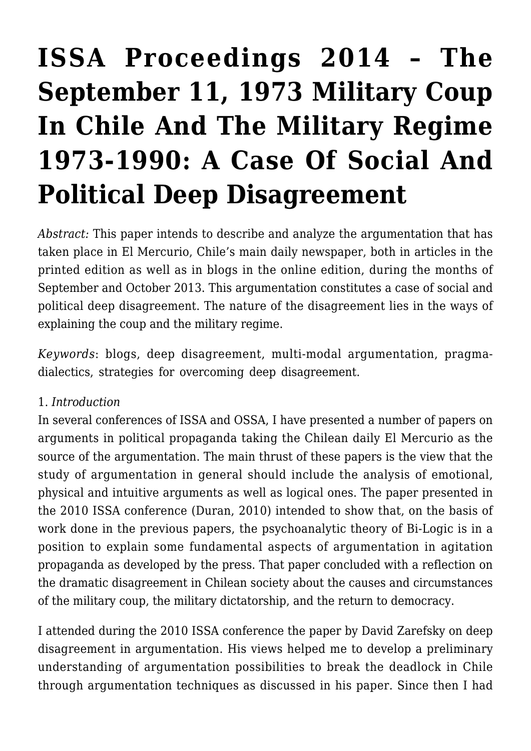# **[ISSA Proceedings 2014 – The](https://rozenbergquarterly.com/issa-proceedings-2014-the-september-11-1973-military-coup-in-chile-and-the-military-regime-1973-1990-a-case-of-social-and-political-deep-disagreement/) [September 11, 1973 Military Coup](https://rozenbergquarterly.com/issa-proceedings-2014-the-september-11-1973-military-coup-in-chile-and-the-military-regime-1973-1990-a-case-of-social-and-political-deep-disagreement/) [In Chile And The Military Regime](https://rozenbergquarterly.com/issa-proceedings-2014-the-september-11-1973-military-coup-in-chile-and-the-military-regime-1973-1990-a-case-of-social-and-political-deep-disagreement/) [1973-1990: A Case Of Social And](https://rozenbergquarterly.com/issa-proceedings-2014-the-september-11-1973-military-coup-in-chile-and-the-military-regime-1973-1990-a-case-of-social-and-political-deep-disagreement/) [Political Deep Disagreement](https://rozenbergquarterly.com/issa-proceedings-2014-the-september-11-1973-military-coup-in-chile-and-the-military-regime-1973-1990-a-case-of-social-and-political-deep-disagreement/)**

*Abstract:* This paper intends to describe and analyze the argumentation that has taken place in El Mercurio, Chile's main daily newspaper, both in articles in the printed edition as well as in blogs in the online edition, during the months of September and October 2013. This argumentation constitutes a case of social and political deep disagreement. The nature of the disagreement lies in the ways of explaining the coup and the military regime.

*Keywords*: blogs, deep disagreement, multi-modal argumentation, pragmadialectics, strategies for overcoming deep disagreement.

#### 1. *Introduction*

In several conferences of ISSA and OSSA, I have presented a number of papers on arguments in political propaganda taking the Chilean daily El Mercurio as the source of the argumentation. The main thrust of these papers is the view that the study of argumentation in general should include the analysis of emotional, physical and intuitive arguments as well as logical ones. The paper presented in the 2010 ISSA conference (Duran, 2010) intended to show that, on the basis of work done in the previous papers, the psychoanalytic theory of Bi-Logic is in a position to explain some fundamental aspects of argumentation in agitation propaganda as developed by the press. That paper concluded with a reflection on the dramatic disagreement in Chilean society about the causes and circumstances of the military coup, the military dictatorship, and the return to democracy.

I attended during the 2010 ISSA conference the paper by David Zarefsky on deep disagreement in argumentation. His views helped me to develop a preliminary understanding of argumentation possibilities to break the deadlock in Chile through argumentation techniques as discussed in his paper. Since then I had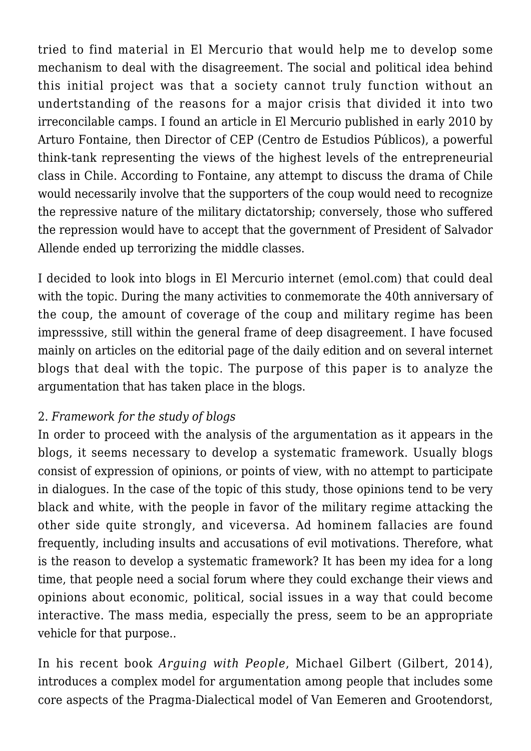tried to find material in El Mercurio that would help me to develop some mechanism to deal with the disagreement. The social and political idea behind this initial project was that a society cannot truly function without an undertstanding of the reasons for a major crisis that divided it into two irreconcilable camps. I found an article in El Mercurio published in early 2010 by Arturo Fontaine, then Director of CEP (Centro de Estudios Públicos), a powerful think-tank representing the views of the highest levels of the entrepreneurial class in Chile. According to Fontaine, any attempt to discuss the drama of Chile would necessarily involve that the supporters of the coup would need to recognize the repressive nature of the military dictatorship; conversely, those who suffered the repression would have to accept that the government of President of Salvador Allende ended up terrorizing the middle classes.

I decided to look into blogs in El Mercurio internet (emol.com) that could deal with the topic. During the many activities to conmemorate the 40th anniversary of the coup, the amount of coverage of the coup and military regime has been impresssive, still within the general frame of deep disagreement. I have focused mainly on articles on the editorial page of the daily edition and on several internet blogs that deal with the topic. The purpose of this paper is to analyze the argumentation that has taken place in the blogs.

# 2. *Framework for the study of blogs*

In order to proceed with the analysis of the argumentation as it appears in the blogs, it seems necessary to develop a systematic framework. Usually blogs consist of expression of opinions, or points of view, with no attempt to participate in dialogues. In the case of the topic of this study, those opinions tend to be very black and white, with the people in favor of the military regime attacking the other side quite strongly, and viceversa. Ad hominem fallacies are found frequently, including insults and accusations of evil motivations. Therefore, what is the reason to develop a systematic framework? It has been my idea for a long time, that people need a social forum where they could exchange their views and opinions about economic, political, social issues in a way that could become interactive. The mass media, especially the press, seem to be an appropriate vehicle for that purpose..

In his recent book *Arguing with People*, Michael Gilbert (Gilbert, 2014), introduces a complex model for argumentation among people that includes some core aspects of the Pragma-Dialectical model of Van Eemeren and Grootendorst,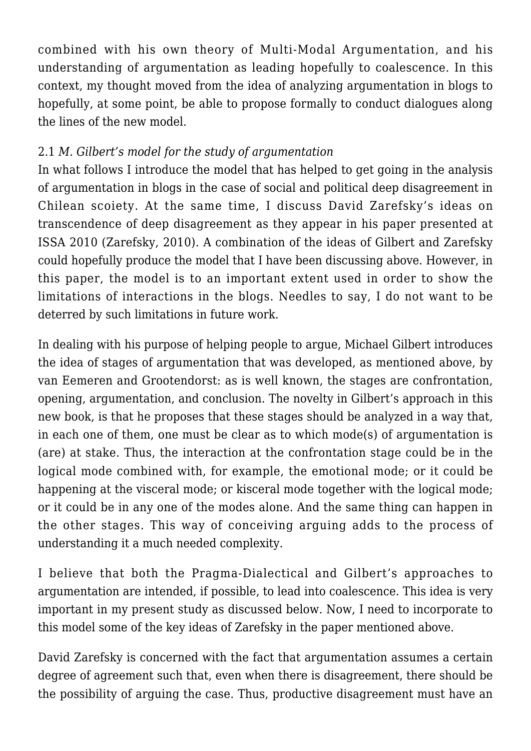combined with his own theory of Multi-Modal Argumentation, and his understanding of argumentation as leading hopefully to coalescence. In this context, my thought moved from the idea of analyzing argumentation in blogs to hopefully, at some point, be able to propose formally to conduct dialogues along the lines of the new model.

# 2.1 *M. Gilbert's model for the study of argumentation*

In what follows I introduce the model that has helped to get going in the analysis of argumentation in blogs in the case of social and political deep disagreement in Chilean scoiety. At the same time, I discuss David Zarefsky's ideas on transcendence of deep disagreement as they appear in his paper presented at ISSA 2010 (Zarefsky, 2010). A combination of the ideas of Gilbert and Zarefsky could hopefully produce the model that I have been discussing above. However, in this paper, the model is to an important extent used in order to show the limitations of interactions in the blogs. Needles to say, I do not want to be deterred by such limitations in future work.

In dealing with his purpose of helping people to argue, Michael Gilbert introduces the idea of stages of argumentation that was developed, as mentioned above, by van Eemeren and Grootendorst: as is well known, the stages are confrontation, opening, argumentation, and conclusion. The novelty in Gilbert's approach in this new book, is that he proposes that these stages should be analyzed in a way that, in each one of them, one must be clear as to which mode(s) of argumentation is (are) at stake. Thus, the interaction at the confrontation stage could be in the logical mode combined with, for example, the emotional mode; or it could be happening at the visceral mode; or kisceral mode together with the logical mode; or it could be in any one of the modes alone. And the same thing can happen in the other stages. This way of conceiving arguing adds to the process of understanding it a much needed complexity.

I believe that both the Pragma-Dialectical and Gilbert's approaches to argumentation are intended, if possible, to lead into coalescence. This idea is very important in my present study as discussed below. Now, I need to incorporate to this model some of the key ideas of Zarefsky in the paper mentioned above.

David Zarefsky is concerned with the fact that argumentation assumes a certain degree of agreement such that, even when there is disagreement, there should be the possibility of arguing the case. Thus, productive disagreement must have an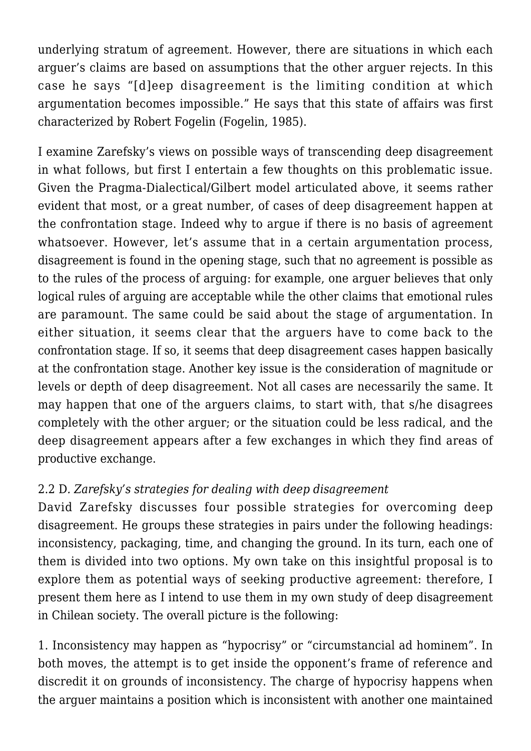underlying stratum of agreement. However, there are situations in which each arguer's claims are based on assumptions that the other arguer rejects. In this case he says "[d]eep disagreement is the limiting condition at which argumentation becomes impossible." He says that this state of affairs was first characterized by Robert Fogelin (Fogelin, 1985).

I examine Zarefsky's views on possible ways of transcending deep disagreement in what follows, but first I entertain a few thoughts on this problematic issue. Given the Pragma-Dialectical/Gilbert model articulated above, it seems rather evident that most, or a great number, of cases of deep disagreement happen at the confrontation stage. Indeed why to argue if there is no basis of agreement whatsoever. However, let's assume that in a certain argumentation process, disagreement is found in the opening stage, such that no agreement is possible as to the rules of the process of arguing: for example, one arguer believes that only logical rules of arguing are acceptable while the other claims that emotional rules are paramount. The same could be said about the stage of argumentation. In either situation, it seems clear that the arguers have to come back to the confrontation stage. If so, it seems that deep disagreement cases happen basically at the confrontation stage. Another key issue is the consideration of magnitude or levels or depth of deep disagreement. Not all cases are necessarily the same. It may happen that one of the arguers claims, to start with, that s/he disagrees completely with the other arguer; or the situation could be less radical, and the deep disagreement appears after a few exchanges in which they find areas of productive exchange.

# 2.2 D*. Zarefsky's strategies for dealing with deep disagreement*

David Zarefsky discusses four possible strategies for overcoming deep disagreement. He groups these strategies in pairs under the following headings: inconsistency, packaging, time, and changing the ground. In its turn, each one of them is divided into two options. My own take on this insightful proposal is to explore them as potential ways of seeking productive agreement: therefore, I present them here as I intend to use them in my own study of deep disagreement in Chilean society. The overall picture is the following:

1. Inconsistency may happen as "hypocrisy" or "circumstancial ad hominem". In both moves, the attempt is to get inside the opponent's frame of reference and discredit it on grounds of inconsistency. The charge of hypocrisy happens when the arguer maintains a position which is inconsistent with another one maintained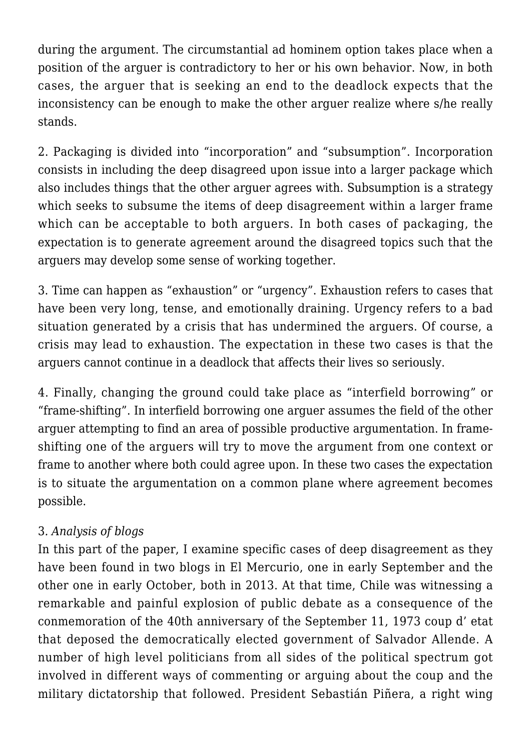during the argument. The circumstantial ad hominem option takes place when a position of the arguer is contradictory to her or his own behavior. Now, in both cases, the arguer that is seeking an end to the deadlock expects that the inconsistency can be enough to make the other arguer realize where s/he really stands.

2. Packaging is divided into "incorporation" and "subsumption". Incorporation consists in including the deep disagreed upon issue into a larger package which also includes things that the other arguer agrees with. Subsumption is a strategy which seeks to subsume the items of deep disagreement within a larger frame which can be acceptable to both arguers. In both cases of packaging, the expectation is to generate agreement around the disagreed topics such that the arguers may develop some sense of working together.

3. Time can happen as "exhaustion" or "urgency". Exhaustion refers to cases that have been very long, tense, and emotionally draining. Urgency refers to a bad situation generated by a crisis that has undermined the arguers. Of course, a crisis may lead to exhaustion. The expectation in these two cases is that the arguers cannot continue in a deadlock that affects their lives so seriously.

4. Finally, changing the ground could take place as "interfield borrowing" or "frame-shifting". In interfield borrowing one arguer assumes the field of the other arguer attempting to find an area of possible productive argumentation. In frameshifting one of the arguers will try to move the argument from one context or frame to another where both could agree upon. In these two cases the expectation is to situate the argumentation on a common plane where agreement becomes possible.

# 3*. Analysis of blogs*

In this part of the paper, I examine specific cases of deep disagreement as they have been found in two blogs in El Mercurio, one in early September and the other one in early October, both in 2013. At that time, Chile was witnessing a remarkable and painful explosion of public debate as a consequence of the conmemoration of the 40th anniversary of the September 11, 1973 coup d' etat that deposed the democratically elected government of Salvador Allende. A number of high level politicians from all sides of the political spectrum got involved in different ways of commenting or arguing about the coup and the military dictatorship that followed. President Sebastián Piñera, a right wing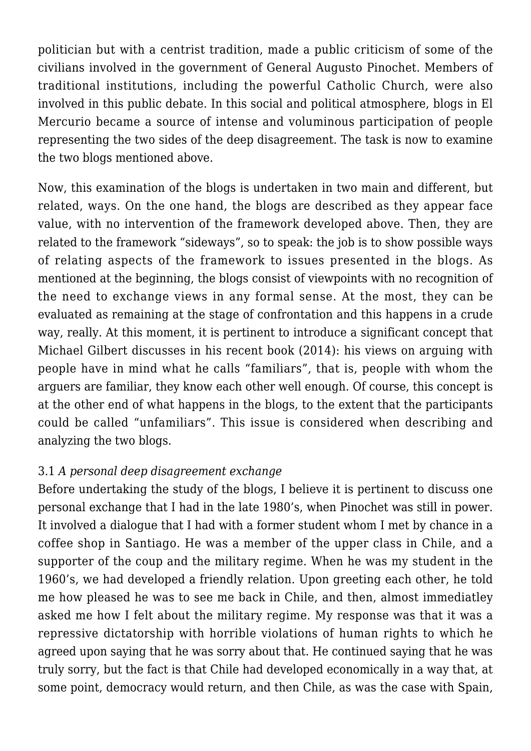politician but with a centrist tradition, made a public criticism of some of the civilians involved in the government of General Augusto Pinochet. Members of traditional institutions, including the powerful Catholic Church, were also involved in this public debate. In this social and political atmosphere, blogs in El Mercurio became a source of intense and voluminous participation of people representing the two sides of the deep disagreement. The task is now to examine the two blogs mentioned above.

Now, this examination of the blogs is undertaken in two main and different, but related, ways. On the one hand, the blogs are described as they appear face value, with no intervention of the framework developed above. Then, they are related to the framework "sideways", so to speak: the job is to show possible ways of relating aspects of the framework to issues presented in the blogs. As mentioned at the beginning, the blogs consist of viewpoints with no recognition of the need to exchange views in any formal sense. At the most, they can be evaluated as remaining at the stage of confrontation and this happens in a crude way, really. At this moment, it is pertinent to introduce a significant concept that Michael Gilbert discusses in his recent book (2014): his views on arguing with people have in mind what he calls "familiars", that is, people with whom the arguers are familiar, they know each other well enough. Of course, this concept is at the other end of what happens in the blogs, to the extent that the participants could be called "unfamiliars". This issue is considered when describing and analyzing the two blogs.

#### 3.1 *A personal deep disagreement exchange*

Before undertaking the study of the blogs, I believe it is pertinent to discuss one personal exchange that I had in the late 1980's, when Pinochet was still in power. It involved a dialogue that I had with a former student whom I met by chance in a coffee shop in Santiago. He was a member of the upper class in Chile, and a supporter of the coup and the military regime. When he was my student in the 1960's, we had developed a friendly relation. Upon greeting each other, he told me how pleased he was to see me back in Chile, and then, almost immediatley asked me how I felt about the military regime. My response was that it was a repressive dictatorship with horrible violations of human rights to which he agreed upon saying that he was sorry about that. He continued saying that he was truly sorry, but the fact is that Chile had developed economically in a way that, at some point, democracy would return, and then Chile, as was the case with Spain,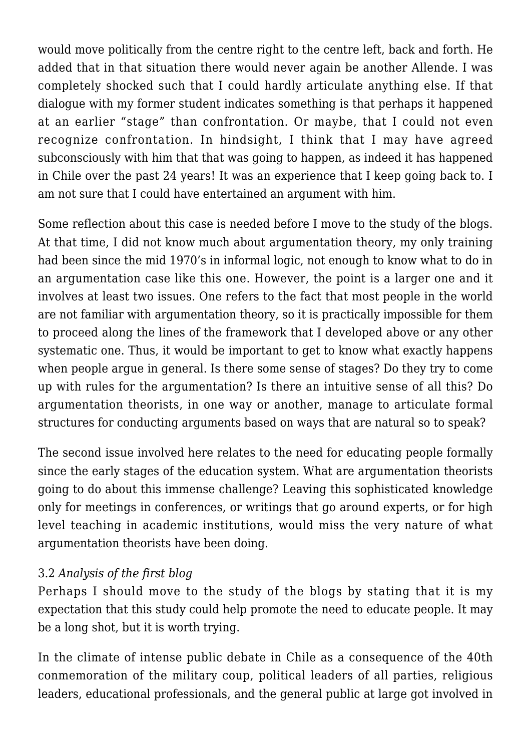would move politically from the centre right to the centre left, back and forth. He added that in that situation there would never again be another Allende. I was completely shocked such that I could hardly articulate anything else. If that dialogue with my former student indicates something is that perhaps it happened at an earlier "stage" than confrontation. Or maybe, that I could not even recognize confrontation. In hindsight, I think that I may have agreed subconsciously with him that that was going to happen, as indeed it has happened in Chile over the past 24 years! It was an experience that I keep going back to. I am not sure that I could have entertained an argument with him.

Some reflection about this case is needed before I move to the study of the blogs. At that time, I did not know much about argumentation theory, my only training had been since the mid 1970's in informal logic, not enough to know what to do in an argumentation case like this one. However, the point is a larger one and it involves at least two issues. One refers to the fact that most people in the world are not familiar with argumentation theory, so it is practically impossible for them to proceed along the lines of the framework that I developed above or any other systematic one. Thus, it would be important to get to know what exactly happens when people argue in general. Is there some sense of stages? Do they try to come up with rules for the argumentation? Is there an intuitive sense of all this? Do argumentation theorists, in one way or another, manage to articulate formal structures for conducting arguments based on ways that are natural so to speak?

The second issue involved here relates to the need for educating people formally since the early stages of the education system. What are argumentation theorists going to do about this immense challenge? Leaving this sophisticated knowledge only for meetings in conferences, or writings that go around experts, or for high level teaching in academic institutions, would miss the very nature of what argumentation theorists have been doing.

## 3.2 *Analysis of the first blog*

Perhaps I should move to the study of the blogs by stating that it is my expectation that this study could help promote the need to educate people. It may be a long shot, but it is worth trying.

In the climate of intense public debate in Chile as a consequence of the 40th conmemoration of the military coup, political leaders of all parties, religious leaders, educational professionals, and the general public at large got involved in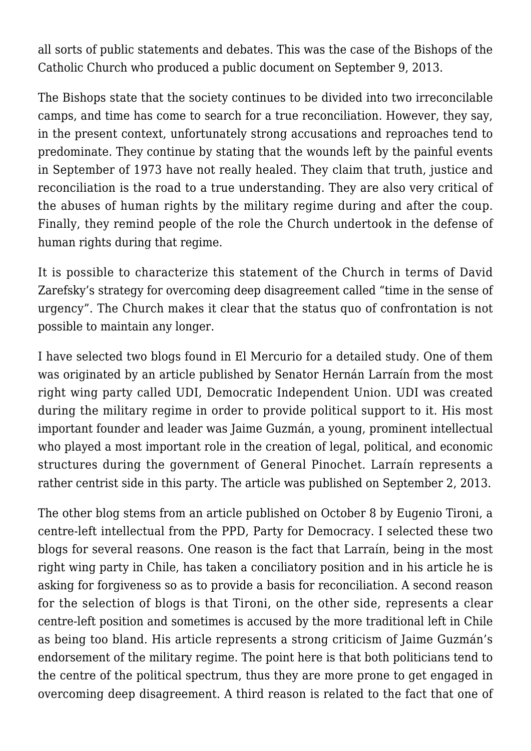all sorts of public statements and debates. This was the case of the Bishops of the Catholic Church who produced a public document on September 9, 2013.

The Bishops state that the society continues to be divided into two irreconcilable camps, and time has come to search for a true reconciliation. However, they say, in the present context, unfortunately strong accusations and reproaches tend to predominate. They continue by stating that the wounds left by the painful events in September of 1973 have not really healed. They claim that truth, justice and reconciliation is the road to a true understanding. They are also very critical of the abuses of human rights by the military regime during and after the coup. Finally, they remind people of the role the Church undertook in the defense of human rights during that regime.

It is possible to characterize this statement of the Church in terms of David Zarefsky's strategy for overcoming deep disagreement called "time in the sense of urgency". The Church makes it clear that the status quo of confrontation is not possible to maintain any longer.

I have selected two blogs found in El Mercurio for a detailed study. One of them was originated by an article published by Senator Hernán Larraín from the most right wing party called UDI, Democratic Independent Union. UDI was created during the military regime in order to provide political support to it. His most important founder and leader was Jaime Guzmán, a young, prominent intellectual who played a most important role in the creation of legal, political, and economic structures during the government of General Pinochet. Larraín represents a rather centrist side in this party. The article was published on September 2, 2013.

The other blog stems from an article published on October 8 by Eugenio Tironi, a centre-left intellectual from the PPD, Party for Democracy. I selected these two blogs for several reasons. One reason is the fact that Larraín, being in the most right wing party in Chile, has taken a conciliatory position and in his article he is asking for forgiveness so as to provide a basis for reconciliation. A second reason for the selection of blogs is that Tironi, on the other side, represents a clear centre-left position and sometimes is accused by the more traditional left in Chile as being too bland. His article represents a strong criticism of Jaime Guzmán's endorsement of the military regime. The point here is that both politicians tend to the centre of the political spectrum, thus they are more prone to get engaged in overcoming deep disagreement. A third reason is related to the fact that one of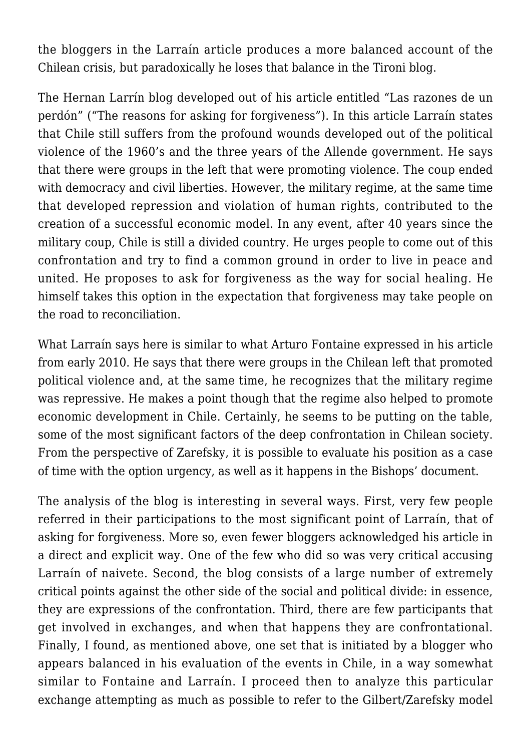the bloggers in the Larraín article produces a more balanced account of the Chilean crisis, but paradoxically he loses that balance in the Tironi blog.

The Hernan Larrín blog developed out of his article entitled "Las razones de un perdón" ("The reasons for asking for forgiveness"). In this article Larraín states that Chile still suffers from the profound wounds developed out of the political violence of the 1960's and the three years of the Allende government. He says that there were groups in the left that were promoting violence. The coup ended with democracy and civil liberties. However, the military regime, at the same time that developed repression and violation of human rights, contributed to the creation of a successful economic model. In any event, after 40 years since the military coup, Chile is still a divided country. He urges people to come out of this confrontation and try to find a common ground in order to live in peace and united. He proposes to ask for forgiveness as the way for social healing. He himself takes this option in the expectation that forgiveness may take people on the road to reconciliation.

What Larraín says here is similar to what Arturo Fontaine expressed in his article from early 2010. He says that there were groups in the Chilean left that promoted political violence and, at the same time, he recognizes that the military regime was repressive. He makes a point though that the regime also helped to promote economic development in Chile. Certainly, he seems to be putting on the table, some of the most significant factors of the deep confrontation in Chilean society. From the perspective of Zarefsky, it is possible to evaluate his position as a case of time with the option urgency, as well as it happens in the Bishops' document.

The analysis of the blog is interesting in several ways. First, very few people referred in their participations to the most significant point of Larraín, that of asking for forgiveness. More so, even fewer bloggers acknowledged his article in a direct and explicit way. One of the few who did so was very critical accusing Larraín of naivete. Second, the blog consists of a large number of extremely critical points against the other side of the social and political divide: in essence, they are expressions of the confrontation. Third, there are few participants that get involved in exchanges, and when that happens they are confrontational. Finally, I found, as mentioned above, one set that is initiated by a blogger who appears balanced in his evaluation of the events in Chile, in a way somewhat similar to Fontaine and Larraín. I proceed then to analyze this particular exchange attempting as much as possible to refer to the Gilbert/Zarefsky model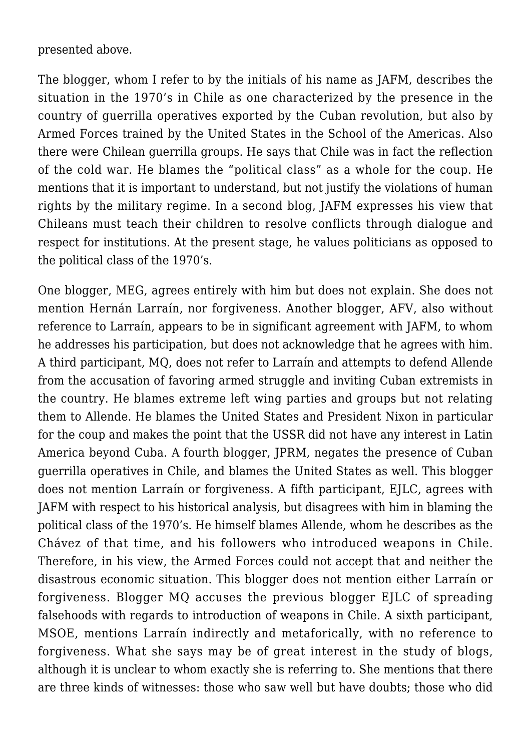presented above.

The blogger, whom I refer to by the initials of his name as JAFM, describes the situation in the 1970's in Chile as one characterized by the presence in the country of guerrilla operatives exported by the Cuban revolution, but also by Armed Forces trained by the United States in the School of the Americas. Also there were Chilean guerrilla groups. He says that Chile was in fact the reflection of the cold war. He blames the "political class" as a whole for the coup. He mentions that it is important to understand, but not justify the violations of human rights by the military regime. In a second blog, JAFM expresses his view that Chileans must teach their children to resolve conflicts through dialogue and respect for institutions. At the present stage, he values politicians as opposed to the political class of the 1970's.

One blogger, MEG, agrees entirely with him but does not explain. She does not mention Hernán Larraín, nor forgiveness. Another blogger, AFV, also without reference to Larraín, appears to be in significant agreement with JAFM, to whom he addresses his participation, but does not acknowledge that he agrees with him. A third participant, MQ, does not refer to Larraín and attempts to defend Allende from the accusation of favoring armed struggle and inviting Cuban extremists in the country. He blames extreme left wing parties and groups but not relating them to Allende. He blames the United States and President Nixon in particular for the coup and makes the point that the USSR did not have any interest in Latin America beyond Cuba. A fourth blogger, JPRM, negates the presence of Cuban guerrilla operatives in Chile, and blames the United States as well. This blogger does not mention Larraín or forgiveness. A fifth participant, EJLC, agrees with JAFM with respect to his historical analysis, but disagrees with him in blaming the political class of the 1970's. He himself blames Allende, whom he describes as the Chávez of that time, and his followers who introduced weapons in Chile. Therefore, in his view, the Armed Forces could not accept that and neither the disastrous economic situation. This blogger does not mention either Larraín or forgiveness. Blogger MQ accuses the previous blogger EJLC of spreading falsehoods with regards to introduction of weapons in Chile. A sixth participant, MSOE, mentions Larraín indirectly and metaforically, with no reference to forgiveness. What she says may be of great interest in the study of blogs, although it is unclear to whom exactly she is referring to. She mentions that there are three kinds of witnesses: those who saw well but have doubts; those who did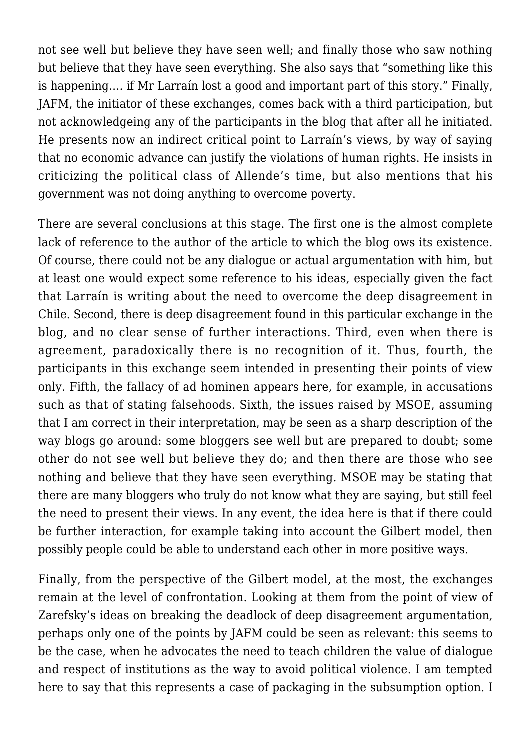not see well but believe they have seen well; and finally those who saw nothing but believe that they have seen everything. She also says that "something like this is happening…. if Mr Larraín lost a good and important part of this story." Finally, JAFM, the initiator of these exchanges, comes back with a third participation, but not acknowledgeing any of the participants in the blog that after all he initiated. He presents now an indirect critical point to Larraín's views, by way of saying that no economic advance can justify the violations of human rights. He insists in criticizing the political class of Allende's time, but also mentions that his government was not doing anything to overcome poverty.

There are several conclusions at this stage. The first one is the almost complete lack of reference to the author of the article to which the blog ows its existence. Of course, there could not be any dialogue or actual argumentation with him, but at least one would expect some reference to his ideas, especially given the fact that Larraín is writing about the need to overcome the deep disagreement in Chile. Second, there is deep disagreement found in this particular exchange in the blog, and no clear sense of further interactions. Third, even when there is agreement, paradoxically there is no recognition of it. Thus, fourth, the participants in this exchange seem intended in presenting their points of view only. Fifth, the fallacy of ad hominen appears here, for example, in accusations such as that of stating falsehoods. Sixth, the issues raised by MSOE, assuming that I am correct in their interpretation, may be seen as a sharp description of the way blogs go around: some bloggers see well but are prepared to doubt; some other do not see well but believe they do; and then there are those who see nothing and believe that they have seen everything. MSOE may be stating that there are many bloggers who truly do not know what they are saying, but still feel the need to present their views. In any event, the idea here is that if there could be further interaction, for example taking into account the Gilbert model, then possibly people could be able to understand each other in more positive ways.

Finally, from the perspective of the Gilbert model, at the most, the exchanges remain at the level of confrontation. Looking at them from the point of view of Zarefsky's ideas on breaking the deadlock of deep disagreement argumentation, perhaps only one of the points by JAFM could be seen as relevant: this seems to be the case, when he advocates the need to teach children the value of dialogue and respect of institutions as the way to avoid political violence. I am tempted here to say that this represents a case of packaging in the subsumption option. I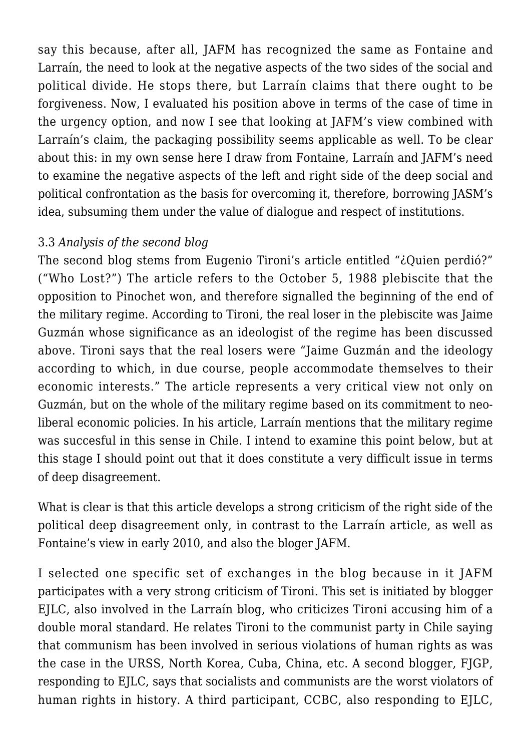say this because, after all, JAFM has recognized the same as Fontaine and Larraín, the need to look at the negative aspects of the two sides of the social and political divide. He stops there, but Larraín claims that there ought to be forgiveness. Now, I evaluated his position above in terms of the case of time in the urgency option, and now I see that looking at JAFM's view combined with Larraín's claim, the packaging possibility seems applicable as well. To be clear about this: in my own sense here I draw from Fontaine, Larraín and JAFM's need to examine the negative aspects of the left and right side of the deep social and political confrontation as the basis for overcoming it, therefore, borrowing JASM's idea, subsuming them under the value of dialogue and respect of institutions.

## 3.3 *Analysis of the second blog*

The second blog stems from Eugenio Tironi's article entitled "¿Quien perdió?" ("Who Lost?") The article refers to the October 5, 1988 plebiscite that the opposition to Pinochet won, and therefore signalled the beginning of the end of the military regime. According to Tironi, the real loser in the plebiscite was Jaime Guzmán whose significance as an ideologist of the regime has been discussed above. Tironi says that the real losers were "Jaime Guzmán and the ideology according to which, in due course, people accommodate themselves to their economic interests." The article represents a very critical view not only on Guzmán, but on the whole of the military regime based on its commitment to neoliberal economic policies. In his article, Larraín mentions that the military regime was succesful in this sense in Chile. I intend to examine this point below, but at this stage I should point out that it does constitute a very difficult issue in terms of deep disagreement.

What is clear is that this article develops a strong criticism of the right side of the political deep disagreement only, in contrast to the Larraín article, as well as Fontaine's view in early 2010, and also the bloger JAFM.

I selected one specific set of exchanges in the blog because in it JAFM participates with a very strong criticism of Tironi. This set is initiated by blogger EJLC, also involved in the Larraín blog, who criticizes Tironi accusing him of a double moral standard. He relates Tironi to the communist party in Chile saying that communism has been involved in serious violations of human rights as was the case in the URSS, North Korea, Cuba, China, etc. A second blogger, FJGP, responding to EJLC, says that socialists and communists are the worst violators of human rights in history. A third participant, CCBC, also responding to EJLC,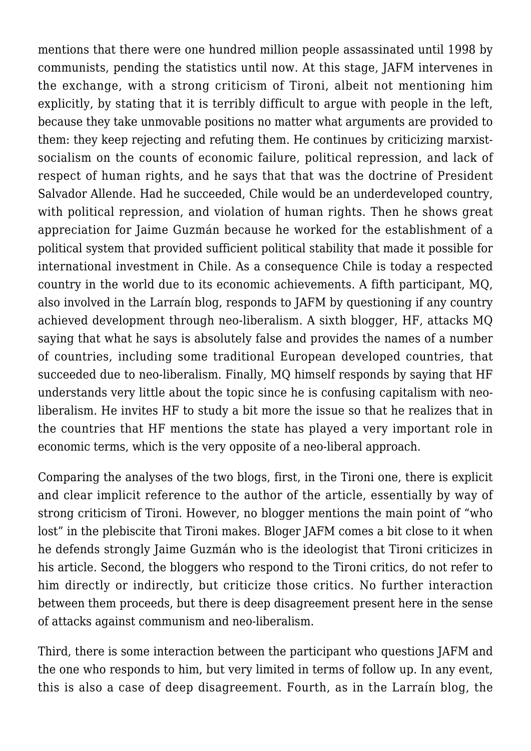mentions that there were one hundred million people assassinated until 1998 by communists, pending the statistics until now. At this stage, JAFM intervenes in the exchange, with a strong criticism of Tironi, albeit not mentioning him explicitly, by stating that it is terribly difficult to argue with people in the left, because they take unmovable positions no matter what arguments are provided to them: they keep rejecting and refuting them. He continues by criticizing marxistsocialism on the counts of economic failure, political repression, and lack of respect of human rights, and he says that that was the doctrine of President Salvador Allende. Had he succeeded, Chile would be an underdeveloped country, with political repression, and violation of human rights. Then he shows great appreciation for Jaime Guzmán because he worked for the establishment of a political system that provided sufficient political stability that made it possible for international investment in Chile. As a consequence Chile is today a respected country in the world due to its economic achievements. A fifth participant, MQ, also involved in the Larraín blog, responds to JAFM by questioning if any country achieved development through neo-liberalism. A sixth blogger, HF, attacks MQ saying that what he says is absolutely false and provides the names of a number of countries, including some traditional European developed countries, that succeeded due to neo-liberalism. Finally, MQ himself responds by saying that HF understands very little about the topic since he is confusing capitalism with neoliberalism. He invites HF to study a bit more the issue so that he realizes that in the countries that HF mentions the state has played a very important role in economic terms, which is the very opposite of a neo-liberal approach.

Comparing the analyses of the two blogs, first, in the Tironi one, there is explicit and clear implicit reference to the author of the article, essentially by way of strong criticism of Tironi. However, no blogger mentions the main point of "who lost" in the plebiscite that Tironi makes. Bloger JAFM comes a bit close to it when he defends strongly Jaime Guzmán who is the ideologist that Tironi criticizes in his article. Second, the bloggers who respond to the Tironi critics, do not refer to him directly or indirectly, but criticize those critics. No further interaction between them proceeds, but there is deep disagreement present here in the sense of attacks against communism and neo-liberalism.

Third, there is some interaction between the participant who questions JAFM and the one who responds to him, but very limited in terms of follow up. In any event, this is also a case of deep disagreement. Fourth, as in the Larraín blog, the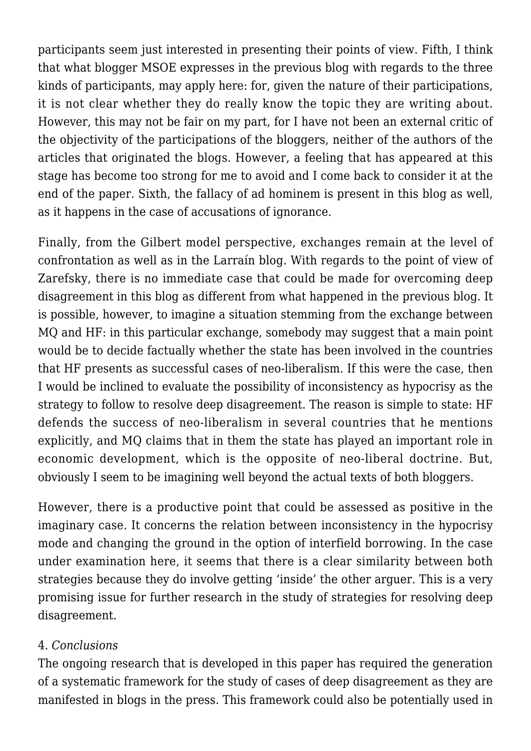participants seem just interested in presenting their points of view. Fifth, I think that what blogger MSOE expresses in the previous blog with regards to the three kinds of participants, may apply here: for, given the nature of their participations, it is not clear whether they do really know the topic they are writing about. However, this may not be fair on my part, for I have not been an external critic of the objectivity of the participations of the bloggers, neither of the authors of the articles that originated the blogs. However, a feeling that has appeared at this stage has become too strong for me to avoid and I come back to consider it at the end of the paper. Sixth, the fallacy of ad hominem is present in this blog as well, as it happens in the case of accusations of ignorance.

Finally, from the Gilbert model perspective, exchanges remain at the level of confrontation as well as in the Larraín blog. With regards to the point of view of Zarefsky, there is no immediate case that could be made for overcoming deep disagreement in this blog as different from what happened in the previous blog. It is possible, however, to imagine a situation stemming from the exchange between MQ and HF: in this particular exchange, somebody may suggest that a main point would be to decide factually whether the state has been involved in the countries that HF presents as successful cases of neo-liberalism. If this were the case, then I would be inclined to evaluate the possibility of inconsistency as hypocrisy as the strategy to follow to resolve deep disagreement. The reason is simple to state: HF defends the success of neo-liberalism in several countries that he mentions explicitly, and MQ claims that in them the state has played an important role in economic development, which is the opposite of neo-liberal doctrine. But, obviously I seem to be imagining well beyond the actual texts of both bloggers.

However, there is a productive point that could be assessed as positive in the imaginary case. It concerns the relation between inconsistency in the hypocrisy mode and changing the ground in the option of interfield borrowing. In the case under examination here, it seems that there is a clear similarity between both strategies because they do involve getting 'inside' the other arguer. This is a very promising issue for further research in the study of strategies for resolving deep disagreement.

## 4. *Conclusions*

The ongoing research that is developed in this paper has required the generation of a systematic framework for the study of cases of deep disagreement as they are manifested in blogs in the press. This framework could also be potentially used in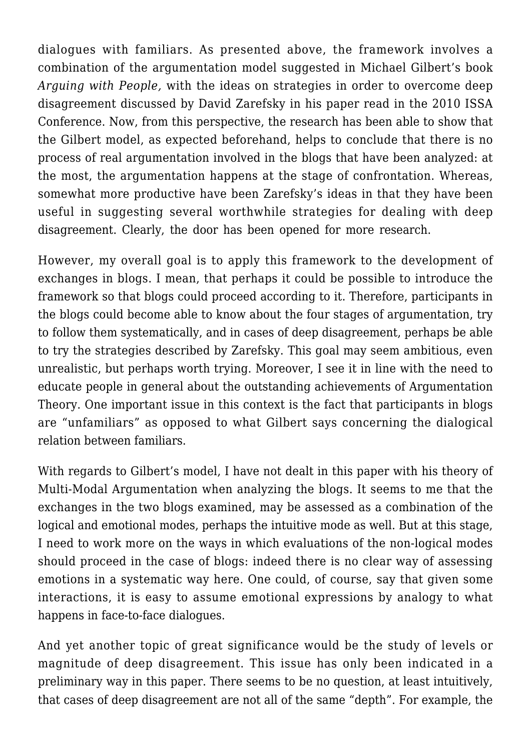dialogues with familiars. As presented above, the framework involves a combination of the argumentation model suggested in Michael Gilbert's book *Arguing with People,* with the ideas on strategies in order to overcome deep disagreement discussed by David Zarefsky in his paper read in the 2010 ISSA Conference. Now, from this perspective, the research has been able to show that the Gilbert model, as expected beforehand, helps to conclude that there is no process of real argumentation involved in the blogs that have been analyzed: at the most, the argumentation happens at the stage of confrontation. Whereas, somewhat more productive have been Zarefsky's ideas in that they have been useful in suggesting several worthwhile strategies for dealing with deep disagreement. Clearly, the door has been opened for more research.

However, my overall goal is to apply this framework to the development of exchanges in blogs. I mean, that perhaps it could be possible to introduce the framework so that blogs could proceed according to it. Therefore, participants in the blogs could become able to know about the four stages of argumentation, try to follow them systematically, and in cases of deep disagreement, perhaps be able to try the strategies described by Zarefsky. This goal may seem ambitious, even unrealistic, but perhaps worth trying. Moreover, I see it in line with the need to educate people in general about the outstanding achievements of Argumentation Theory. One important issue in this context is the fact that participants in blogs are "unfamiliars" as opposed to what Gilbert says concerning the dialogical relation between familiars.

With regards to Gilbert's model, I have not dealt in this paper with his theory of Multi-Modal Argumentation when analyzing the blogs. It seems to me that the exchanges in the two blogs examined, may be assessed as a combination of the logical and emotional modes, perhaps the intuitive mode as well. But at this stage, I need to work more on the ways in which evaluations of the non-logical modes should proceed in the case of blogs: indeed there is no clear way of assessing emotions in a systematic way here. One could, of course, say that given some interactions, it is easy to assume emotional expressions by analogy to what happens in face-to-face dialogues.

And yet another topic of great significance would be the study of levels or magnitude of deep disagreement. This issue has only been indicated in a preliminary way in this paper. There seems to be no question, at least intuitively, that cases of deep disagreement are not all of the same "depth". For example, the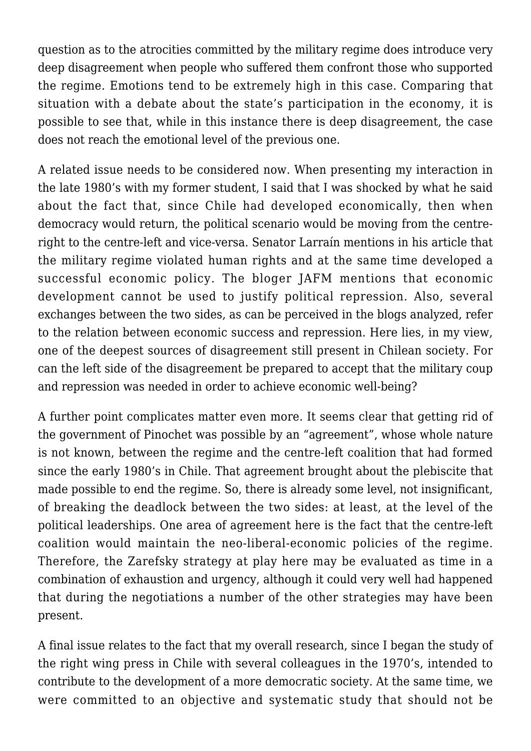question as to the atrocities committed by the military regime does introduce very deep disagreement when people who suffered them confront those who supported the regime. Emotions tend to be extremely high in this case. Comparing that situation with a debate about the state's participation in the economy, it is possible to see that, while in this instance there is deep disagreement, the case does not reach the emotional level of the previous one.

A related issue needs to be considered now. When presenting my interaction in the late 1980's with my former student, I said that I was shocked by what he said about the fact that, since Chile had developed economically, then when democracy would return, the political scenario would be moving from the centreright to the centre-left and vice-versa. Senator Larraín mentions in his article that the military regime violated human rights and at the same time developed a successful economic policy. The bloger JAFM mentions that economic development cannot be used to justify political repression. Also, several exchanges between the two sides, as can be perceived in the blogs analyzed, refer to the relation between economic success and repression. Here lies, in my view, one of the deepest sources of disagreement still present in Chilean society. For can the left side of the disagreement be prepared to accept that the military coup and repression was needed in order to achieve economic well-being?

A further point complicates matter even more. It seems clear that getting rid of the government of Pinochet was possible by an "agreement", whose whole nature is not known, between the regime and the centre-left coalition that had formed since the early 1980's in Chile. That agreement brought about the plebiscite that made possible to end the regime. So, there is already some level, not insignificant, of breaking the deadlock between the two sides: at least, at the level of the political leaderships. One area of agreement here is the fact that the centre-left coalition would maintain the neo-liberal-economic policies of the regime. Therefore, the Zarefsky strategy at play here may be evaluated as time in a combination of exhaustion and urgency, although it could very well had happened that during the negotiations a number of the other strategies may have been present.

A final issue relates to the fact that my overall research, since I began the study of the right wing press in Chile with several colleagues in the 1970's, intended to contribute to the development of a more democratic society. At the same time, we were committed to an objective and systematic study that should not be